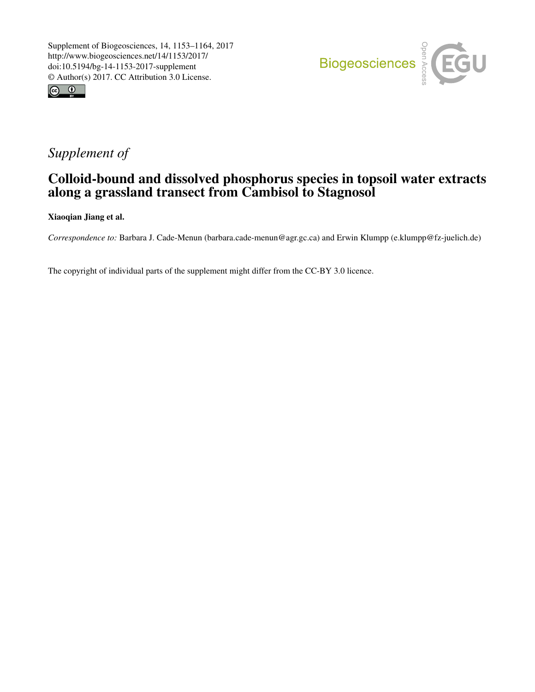



## *Supplement of*

## Colloid-bound and dissolved phosphorus species in topsoil water extracts along a grassland transect from Cambisol to Stagnosol

Xiaoqian Jiang et al.

*Correspondence to:* Barbara J. Cade-Menun (barbara.cade-menun@agr.gc.ca) and Erwin Klumpp (e.klumpp@fz-juelich.de)

The copyright of individual parts of the supplement might differ from the CC-BY 3.0 licence.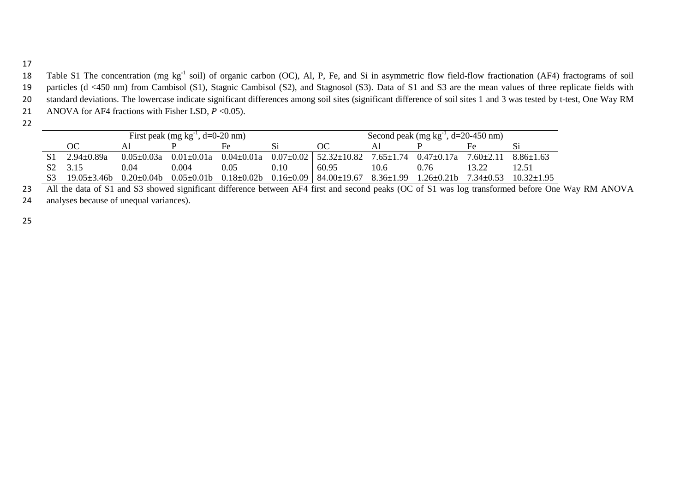17

18 Table S1 The concentration (mg kg<sup>-1</sup> soil) of organic carbon (OC), Al, P, Fe, and Si in asymmetric flow field-flow fractionation (AF4) fractograms of soil 19 particles (d <450 nm) from Cambisol (S1), Stagnic Cambisol (S2), and Stagnosol (S3). Data of S1 and S3 are the mean values of three replicate fields with 20 standard deviations. The lowercase indicate significant differences among soil sites (significant difference of soil sites 1 and 3 was tested by t-test, One Way RM 21 ANOVA for AF4 fractions with Fisher LSD,  $P < 0.05$ ).

22

| First peak (mg $kg^{-1}$ , d=0-20 nm) |                  |       |      |      |                                                                                                           | Second peak (mg $kg^{-1}$ , d=20-450 nm) |      |                                 |                |  |  |
|---------------------------------------|------------------|-------|------|------|-----------------------------------------------------------------------------------------------------------|------------------------------------------|------|---------------------------------|----------------|--|--|
| OС                                    |                  |       |      |      | ОC                                                                                                        |                                          |      | Fe                              |                |  |  |
| $2.94 \pm 0.89a$                      | $0.05 \pm 0.03a$ |       |      |      | $0.01 \pm 0.01a$ $0.04 \pm 0.01a$ $0.07 \pm 0.02$ $52.32 \pm 10.82$ $7.65 \pm 1.74$ $0.47 \pm 0.17a$      |                                          |      | $7.60 \pm 2.11$ $8.86 \pm 1.63$ |                |  |  |
| S <sub>2</sub> 3.15                   | 0.04             | 0.004 | 0.05 | 0.10 | 60.95                                                                                                     | 10.6                                     | 0.76 | 13.22                           | 12.51          |  |  |
| $19.05 + 3.46$                        | $0.20\pm0.04b$   |       |      |      | $0.05 \pm 0.01$ b $0.18 \pm 0.02$ b $0.16 \pm 0.09$   84.00 $\pm 19.67$ 8.36 $\pm 1.99$ 1.26 $\pm 0.21$ b |                                          |      | $7.34 \pm 0.53$                 | $10.32 + 1.95$ |  |  |

23 All the data of S1 and S3 showed significant difference between AF4 first and second peaks (OC of S1 was log transformed before One Way RM ANOVA

24 analyses because of unequal variances).

25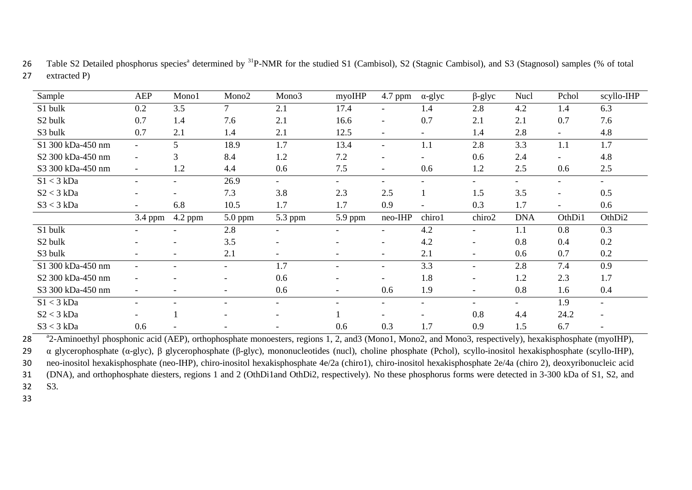| Sample              | <b>AEP</b>               | Mono1                    | Mono <sub>2</sub>        | Mono3                    | myoIHP                   | 4.7 ppm                  | $\alpha$ -glyc           | $\beta$ -glyc            | Nucl                     | Pchol                    | scyllo-IHP               |
|---------------------|--------------------------|--------------------------|--------------------------|--------------------------|--------------------------|--------------------------|--------------------------|--------------------------|--------------------------|--------------------------|--------------------------|
| S1 bulk             | 0.2                      | 3.5                      | $\tau$                   | 2.1                      | 17.4                     | $\overline{\phantom{0}}$ | 1.4                      | 2.8                      | 4.2                      | 1.4                      | 6.3                      |
| S <sub>2</sub> bulk | 0.7                      | 1.4                      | 7.6                      | 2.1                      | 16.6                     | $\overline{\phantom{a}}$ | 0.7                      | 2.1                      | 2.1                      | 0.7                      | 7.6                      |
| S3 bulk             | 0.7                      | 2.1                      | 1.4                      | 2.1                      | 12.5                     | $\overline{\phantom{a}}$ | $\overline{\phantom{a}}$ | 1.4                      | 2.8                      | $\overline{\phantom{a}}$ | 4.8                      |
| S1 300 kDa-450 nm   |                          | 5                        | 18.9                     | 1.7                      | 13.4                     | $\overline{\phantom{a}}$ | 1.1                      | 2.8                      | 3.3                      | 1.1                      | 1.7                      |
| S2 300 kDa-450 nm   | $-$                      | 3                        | 8.4                      | 1.2                      | 7.2                      | $\overline{\phantom{a}}$ | $\qquad \qquad -$        | 0.6                      | 2.4                      | $\overline{\phantom{a}}$ | 4.8                      |
| S3 300 kDa-450 nm   | $\overline{\phantom{a}}$ | 1.2                      | 4.4                      | 0.6                      | 7.5                      | $\overline{\phantom{a}}$ | 0.6                      | 1.2                      | 2.5                      | 0.6                      | 2.5                      |
| $S1 < 3$ kDa        | $\overline{a}$           | $\overline{\phantom{a}}$ | 26.9                     | $\overline{\phantom{0}}$ | $\overline{\phantom{0}}$ | $\overline{\phantom{0}}$ | $\qquad \qquad -$        | $\overline{\phantom{0}}$ | $\overline{\phantom{0}}$ | $\overline{\phantom{0}}$ | $\overline{\phantom{0}}$ |
| $S2 < 3$ kDa        |                          | $\overline{\phantom{a}}$ | 7.3                      | 3.8                      | 2.3                      | 2.5                      |                          | 1.5                      | 3.5                      | $\overline{\phantom{a}}$ | 0.5                      |
| $S3 < 3$ kDa        |                          | 6.8                      | 10.5                     | 1.7                      | 1.7                      | 0.9                      | $\qquad \qquad -$        | 0.3                      | 1.7                      | $\overline{\phantom{a}}$ | 0.6                      |
|                     |                          |                          |                          |                          |                          |                          |                          |                          |                          |                          |                          |
|                     | $3.4$ ppm                | $4.2$ ppm                | 5.0 ppm                  | 5.3 ppm                  | 5.9 ppm                  | neo-IHP                  | chiro1                   | chiro2                   | <b>DNA</b>               | OthDi1                   | OthDi2                   |
| S1 bulk             |                          | $\overline{\phantom{a}}$ | 2.8                      |                          |                          | $\overline{\phantom{a}}$ | 4.2                      | $\overline{\phantom{a}}$ | 1.1                      | 0.8                      | 0.3                      |
| S <sub>2</sub> bulk |                          | ٠                        | 3.5                      | ۰                        | $\blacksquare$           | $\overline{\phantom{a}}$ | 4.2                      | $\overline{\phantom{a}}$ | 0.8                      | 0.4                      | 0.2                      |
| S3 bulk             |                          | $\overline{\phantom{a}}$ | 2.1                      |                          | $\overline{\phantom{a}}$ | $\overline{\phantom{a}}$ | 2.1                      | -                        | 0.6                      | 0.7                      | 0.2                      |
| S1 300 kDa-450 nm   |                          | $\overline{\phantom{0}}$ | $\overline{\phantom{a}}$ | 1.7                      | $\overline{\phantom{a}}$ | $\overline{\phantom{0}}$ | 3.3                      | $\overline{\phantom{a}}$ | 2.8                      | 7.4                      | 0.9                      |
| S2 300 kDa-450 nm   |                          | ۰                        | $\overline{\phantom{0}}$ | 0.6                      | $\overline{\phantom{0}}$ | $\overline{\phantom{0}}$ | 1.8                      | $\overline{\phantom{a}}$ | 1.2                      | 2.3                      | 1.7                      |
| S3 300 kDa-450 nm   |                          |                          |                          | 0.6                      | $\overline{\phantom{a}}$ | 0.6                      | 1.9                      | $\overline{\phantom{a}}$ | 0.8                      | 1.6                      | 0.4                      |
| $S1 < 3$ kDa        |                          |                          |                          | $\overline{\phantom{0}}$ |                          |                          | $\overline{\phantom{0}}$ |                          | $\overline{\phantom{0}}$ | 1.9                      | $\overline{\phantom{a}}$ |
| $S2 < 3$ kDa        |                          |                          |                          |                          |                          |                          |                          | 0.8                      | 4.4                      | 24.2                     |                          |

26 Table S2 Detailed phosphorus species<sup>a</sup> determined by <sup>31</sup>P-NMR for the studied S1 (Cambisol), S2 (Stagnic Cambisol), and S3 (Stagnosol) samples (% of total 27 extracted P)

<sup>a</sup>2-Aminoethyl phosphonic acid (AEP), orthophosphate monoesters, regions 1, 2, and3 (Mono1, Mono2, and Mono3, respectively), hexakisphosphate (myoIHP),

29 α glycerophosphate (α-glyc), β glycerophosphate (β-glyc), mononucleotides (nucl), choline phosphate (Pchol), scyllo-inositol hexakisphosphate (scyllo-IHP), 30 neo-inositol hexakisphosphate (neo-IHP), chiro-inositol hexakisphosphate 4e/2a (chiro1), chiro-inositol hexakisphosphate 2e/4a (chiro 2), deoxyribonucleic acid

31 (DNA), and orthophosphate diesters, regions 1 and 2 (OthDi1and OthDi2, respectively). No these phosphorus forms were detected in 3-300 kDa of S1, S2, and

32 S3.

33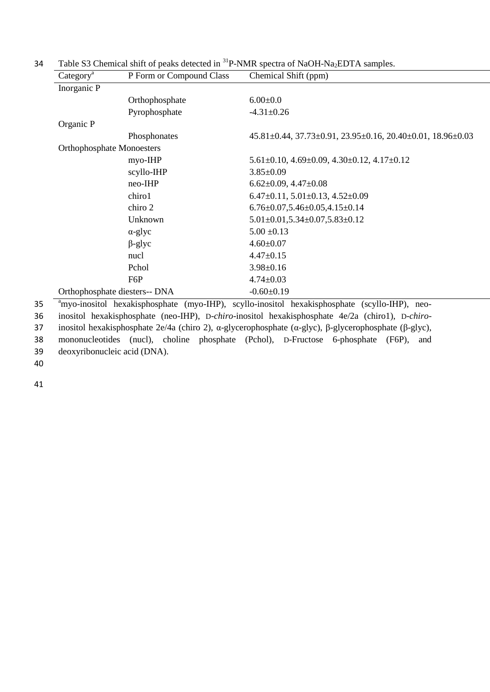| Category <sup>a</sup> | P Form or Compound Class                             | Chemical Shift (ppm)                                                                         |
|-----------------------|------------------------------------------------------|----------------------------------------------------------------------------------------------|
| Inorganic P           |                                                      |                                                                                              |
|                       | Orthophosphate                                       | $6.00 + 0.0$                                                                                 |
|                       | Pyrophosphate                                        | $-4.31 + 0.26$                                                                               |
| Organic P             |                                                      |                                                                                              |
|                       | Phosphonates                                         | $45.81 \pm 0.44$ , $37.73 \pm 0.91$ , $23.95 \pm 0.16$ , $20.40 \pm 0.01$ , $18.96 \pm 0.03$ |
|                       | <b>Orthophosphate Monoesters</b>                     |                                                                                              |
|                       | myo-IHP                                              | $5.61 \pm 0.10$ , $4.69 \pm 0.09$ , $4.30 \pm 0.12$ , $4.17 \pm 0.12$                        |
|                       | scyllo-IHP                                           | $3.85 + 0.09$                                                                                |
|                       | neo-IHP                                              | $6.62 \pm 0.09$ , $4.47 \pm 0.08$                                                            |
|                       | chiro1                                               | $6.47 \pm 0.11, 5.01 \pm 0.13, 4.52 \pm 0.09$                                                |
|                       | chiro 2                                              | $6.76 \pm 0.07, 5.46 \pm 0.05, 4.15 \pm 0.14$                                                |
|                       | Unknown                                              | $5.01 \pm 0.01, 5.34 \pm 0.07, 5.83 \pm 0.12$                                                |
|                       | $\alpha$ -glyc                                       | $5.00 \pm 0.13$                                                                              |
|                       | $\beta$ -glyc                                        | $4.60 + 0.07$                                                                                |
|                       | nucl                                                 | $4.47 \pm 0.15$                                                                              |
|                       | Pchol                                                | $3.98 + 0.16$                                                                                |
|                       | F6P                                                  | $4.74 \pm 0.03$                                                                              |
|                       | Orthophosphate diesters-- DNA                        | $-0.60 + 0.19$                                                                               |
|                       | <sup>a</sup> myo inositol havakisphosphata (myo IHD) | scyllo inositol havakisphosphata (scyllo IHD)<br>$n \Delta \Omega$                           |

Table S3 Chemical shift of peaks detected in  ${}^{31}P\text{-NMR}$  spectra of NaOH-Na<sub>2</sub>EDTA samples.

<sup>a</sup>myo-inositol hexakisphosphate (myo-IHP), scyllo-inositol hexakisphosphate (scyllo-IHP), neo- inositol hexakisphosphate (neo-IHP), D-*chiro*-inositol hexakisphosphate 4e/2a (chiro1), D-*chiro*- inositol hexakisphosphate 2e/4a (chiro 2), α-glycerophosphate (α-glyc), β-glycerophosphate (β-glyc), mononucleotides (nucl), choline phosphate (Pchol), D-Fructose 6-phosphate (F6P), and deoxyribonucleic acid (DNA).

40

41